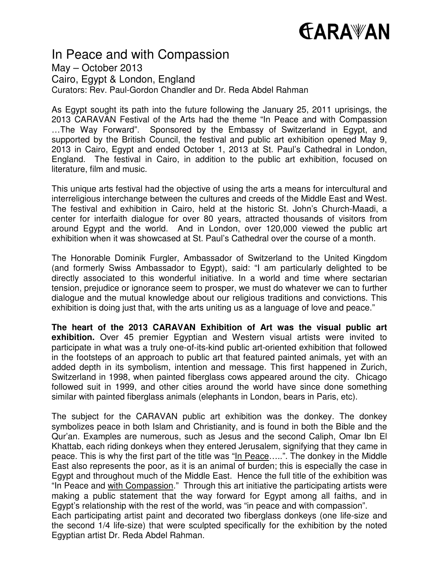# **GARAWAN**

# In Peace and with Compassion

May – October 2013 Cairo, Egypt & London, England Curators: Rev. Paul-Gordon Chandler and Dr. Reda Abdel Rahman

As Egypt sought its path into the future following the January 25, 2011 uprisings, the 2013 CARAVAN Festival of the Arts had the theme "In Peace and with Compassion …The Way Forward". Sponsored by the Embassy of Switzerland in Egypt, and supported by the British Council, the festival and public art exhibition opened May 9, 2013 in Cairo, Egypt and ended October 1, 2013 at St. Paul's Cathedral in London, England. The festival in Cairo, in addition to the public art exhibition, focused on literature, film and music.

This unique arts festival had the objective of using the arts a means for intercultural and interreligious interchange between the cultures and creeds of the Middle East and West. The festival and exhibition in Cairo, held at the historic St. John's Church-Maadi, a center for interfaith dialogue for over 80 years, attracted thousands of visitors from around Egypt and the world. And in London, over 120,000 viewed the public art exhibition when it was showcased at St. Paul's Cathedral over the course of a month.

The Honorable Dominik Furgler, Ambassador of Switzerland to the United Kingdom (and formerly Swiss Ambassador to Egypt), said: "I am particularly delighted to be directly associated to this wonderful initiative. In a world and time where sectarian tension, prejudice or ignorance seem to prosper, we must do whatever we can to further dialogue and the mutual knowledge about our religious traditions and convictions. This exhibition is doing just that, with the arts uniting us as a language of love and peace."

**The heart of the 2013 CARAVAN Exhibition of Art was the visual public art exhibition.** Over 45 premier Egyptian and Western visual artists were invited to participate in what was a truly one-of-its-kind public art-oriented exhibition that followed in the footsteps of an approach to public art that featured painted animals, yet with an added depth in its symbolism, intention and message. This first happened in Zurich, Switzerland in 1998, when painted fiberglass cows appeared around the city. Chicago followed suit in 1999, and other cities around the world have since done something similar with painted fiberglass animals (elephants in London, bears in Paris, etc).

The subject for the CARAVAN public art exhibition was the donkey. The donkey symbolizes peace in both Islam and Christianity, and is found in both the Bible and the Qur'an. Examples are numerous, such as Jesus and the second Caliph, Omar Ibn El Khattab, each riding donkeys when they entered Jerusalem, signifying that they came in peace. This is why the first part of the title was "In Peace…..". The donkey in the Middle East also represents the poor, as it is an animal of burden; this is especially the case in Egypt and throughout much of the Middle East. Hence the full title of the exhibition was "In Peace and with Compassion." Through this art initiative the participating artists were making a public statement that the way forward for Egypt among all faiths, and in Egypt's relationship with the rest of the world, was "in peace and with compassion". Each participating artist paint and decorated two fiberglass donkeys (one life-size and the second 1/4 life-size) that were sculpted specifically for the exhibition by the noted Egyptian artist Dr. Reda Abdel Rahman.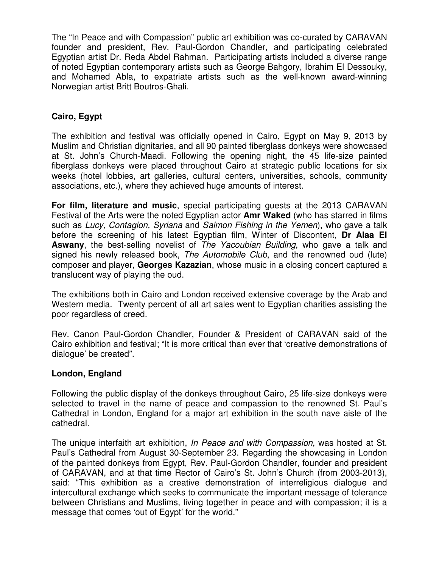The "In Peace and with Compassion" public art exhibition was co-curated by CARAVAN founder and president, Rev. Paul-Gordon Chandler, and participating celebrated Egyptian artist Dr. Reda Abdel Rahman. Participating artists included a diverse range of noted Egyptian contemporary artists such as George Bahgory, Ibrahim El Dessouky, and Mohamed Abla, to expatriate artists such as the well-known award-winning Norwegian artist Britt Boutros-Ghali.

# **Cairo, Egypt**

The exhibition and festival was officially opened in Cairo, Egypt on May 9, 2013 by Muslim and Christian dignitaries, and all 90 painted fiberglass donkeys were showcased at St. John's Church-Maadi. Following the opening night, the 45 life-size painted fiberglass donkeys were placed throughout Cairo at strategic public locations for six weeks (hotel lobbies, art galleries, cultural centers, universities, schools, community associations, etc.), where they achieved huge amounts of interest.

**For film, literature and music**, special participating guests at the 2013 CARAVAN Festival of the Arts were the noted Egyptian actor **Amr Waked** (who has starred in films such as Lucy, Contagion, Syriana and Salmon Fishing in the Yemen), who gave a talk before the screening of his latest Egyptian film, Winter of Discontent, **Dr Alaa El Aswany**, the best-selling novelist of The Yacoubian Building, who gave a talk and signed his newly released book, The Automobile Club, and the renowned oud (lute) composer and player, **Georges Kazazian**, whose music in a closing concert captured a translucent way of playing the oud.

The exhibitions both in Cairo and London received extensive coverage by the Arab and Western media. Twenty percent of all art sales went to Egyptian charities assisting the poor regardless of creed.

Rev. Canon Paul-Gordon Chandler, Founder & President of CARAVAN said of the Cairo exhibition and festival; "It is more critical than ever that 'creative demonstrations of dialogue' be created".

#### **London, England**

Following the public display of the donkeys throughout Cairo, 25 life-size donkeys were selected to travel in the name of peace and compassion to the renowned St. Paul's Cathedral in London, England for a major art exhibition in the south nave aisle of the cathedral.

The unique interfaith art exhibition, In Peace and with Compassion, was hosted at St. Paul's Cathedral from August 30-September 23. Regarding the showcasing in London of the painted donkeys from Egypt, Rev. Paul-Gordon Chandler, founder and president of CARAVAN, and at that time Rector of Cairo's St. John's Church (from 2003-2013), said: "This exhibition as a creative demonstration of interreligious dialogue and intercultural exchange which seeks to communicate the important message of tolerance between Christians and Muslims, living together in peace and with compassion; it is a message that comes 'out of Egypt' for the world."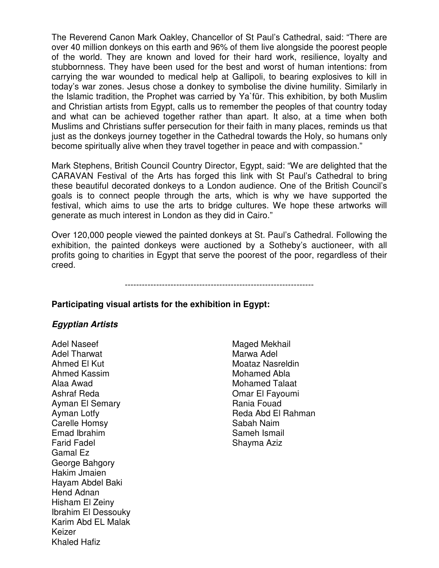The Reverend Canon Mark Oakley, Chancellor of St Paul's Cathedral, said: "There are over 40 million donkeys on this earth and 96% of them live alongside the poorest people of the world. They are known and loved for their hard work, resilience, loyalty and stubbornness. They have been used for the best and worst of human intentions: from carrying the war wounded to medical help at Gallipoli, to bearing explosives to kill in today's war zones. Jesus chose a donkey to symbolise the divine humility. Similarly in the Islamic tradition, the Prophet was carried by Ya`fūr. This exhibition, by both Muslim and Christian artists from Egypt, calls us to remember the peoples of that country today and what can be achieved together rather than apart. It also, at a time when both Muslims and Christians suffer persecution for their faith in many places, reminds us that just as the donkeys journey together in the Cathedral towards the Holy, so humans only become spiritually alive when they travel together in peace and with compassion."

Mark Stephens, British Council Country Director, Egypt, said: "We are delighted that the CARAVAN Festival of the Arts has forged this link with St Paul's Cathedral to bring these beautiful decorated donkeys to a London audience. One of the British Council's goals is to connect people through the arts, which is why we have supported the festival, which aims to use the arts to bridge cultures. We hope these artworks will generate as much interest in London as they did in Cairo."

Over 120,000 people viewed the painted donkeys at St. Paul's Cathedral. Following the exhibition, the painted donkeys were auctioned by a Sotheby's auctioneer, with all profits going to charities in Egypt that serve the poorest of the poor, regardless of their creed.

------------------------------------------------------------------

# **Participating visual artists for the exhibition in Egypt:**

#### **Egyptian Artists**

Adel Naseef Adel Tharwat Ahmed El Kut Ahmed Kassim Alaa Awad Ashraf Reda Ayman El Semary Ayman Lotfy Carelle Homsy Emad Ibrahim Farid Fadel Gamal Ez George Bahgory Hakim Jmaien Hayam Abdel Baki Hend Adnan Hisham El Zeiny Ibrahim El Dessouky Karim Abd EL Malak Keizer Khaled Hafiz

Maged Mekhail Marwa Adel Moataz Nasreldin Mohamed Abla Mohamed Talaat Omar El Fayoumi Rania Fouad Reda Abd El Rahman Sabah Naim Sameh Ismail Shayma Aziz